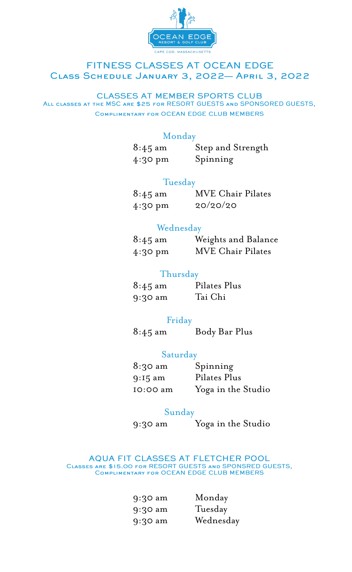

#### FITNESS CLASSES AT OCEAN EDGE CLASS SCHEDULE JANUARY 3, 2022- APRIL 3, 2022

#### **CLASSES AT MEMBER SPORTS CLUB** ALL CLASSES AT THE MSC ARE \$25 FOR RESORT GUESTS AND SPONSORED GUESTS, COMPLIMENTARY FOR OCEAN EDGE CLUB MEMBERS

# Monday

| $8:45 \text{ am}$ | Step and Strength |
|-------------------|-------------------|
| $4:30 \text{ pm}$ | Spinning          |

### Tuesday

| $8:45 \text{ am}$ | <b>MVE Chair Pilates</b> |
|-------------------|--------------------------|
| $4:30 \text{ pm}$ | 20/20/20                 |

# Wednesday

| $8:45 \text{ am}$ | Weights and Balance      |
|-------------------|--------------------------|
| $4:30 \text{ pm}$ | <b>MVE Chair Pilates</b> |

# **Thursday**

| $8:45 \text{ am}$ | Pilates Plus |
|-------------------|--------------|
| $9:30 \text{ am}$ | Tai Chi      |

# Friday

8:45 am Body Bar Plus

# Saturday

| $8:30 \text{ am}$ | Spinning           |
|-------------------|--------------------|
| $9:15 \text{ am}$ | Pilates Plus       |
| IO:00 am          | Yoga in the Studio |

# Sunday

9:30 am Yoga in the Studio

AQUA FIT CLASSES AT FLETCHER POOL CLASSES ARE \$15.00 FOR RESORT GUESTS AND SPONSRED GUESTS,<br>COMPLIMENTARY FOR OCEAN EDGE CLUB MEMBERS

| 9:30 am   | Monday    |
|-----------|-----------|
| $9:30$ am | Tuesday   |
| $9:30$ am | Wednesday |